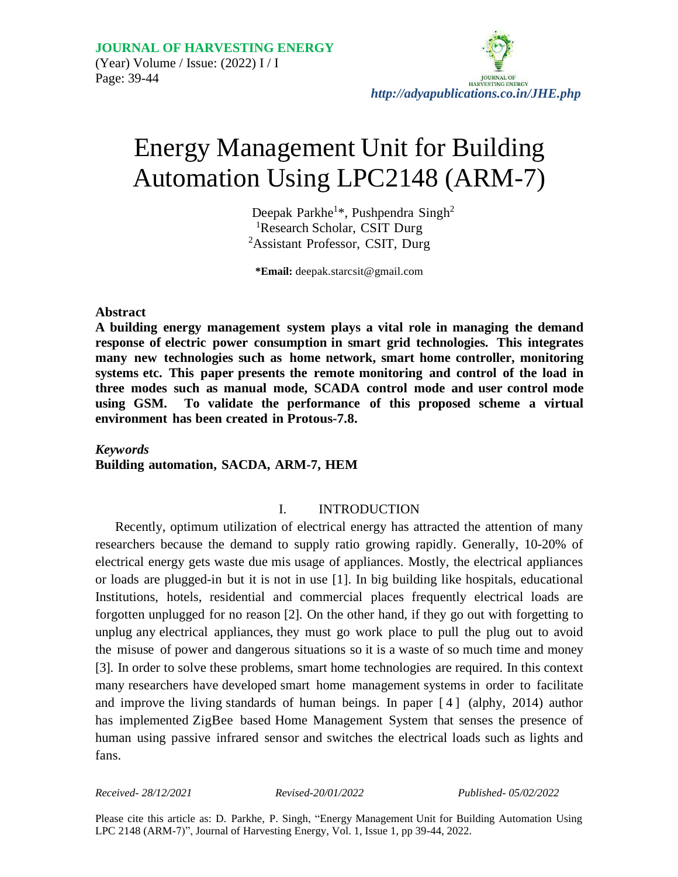

# Energy Management Unit for Building Automation Using LPC2148 (ARM-7)

Deepak Parkhe<sup>1\*</sup>, Pushpendra Singh<sup>2</sup> <sup>1</sup>Research Scholar, CSIT Durg <sup>2</sup>Assistant Professor, CSIT, Durg

**\*Email:** deep[ak.starcsit@gmail.com](mailto:starcsit@gmail.com)

#### **Abstract**

**A building energy management system plays a vital role in managing the demand response of electric power consumption in smart grid technologies. This integrates many new technologies such as home network, smart home controller, monitoring systems etc. This paper presents the remote monitoring and control of the load in three modes such as manual mode, SCADA control mode and user control mode using GSM. To validate the performance of this proposed scheme a virtual environment has been created in Protous-7.8.**

# *Keywords* **Building automation, SACDA, ARM-7, HEM**

## I. INTRODUCTION

Recently, optimum utilization of electrical energy has attracted the attention of many researchers because the demand to supply ratio growing rapidly. Generally, 10-20% of electrical energy gets waste due mis usage of appliances. Mostly, the electrical appliances or loads are plugged-in but it is not in use [1]. In big building like hospitals, educational Institutions, hotels, residential and commercial places frequently electrical loads are forgotten unplugged for no reason [2]. On the other hand, if they go out with forgetting to unplug any electrical appliances, they must go work place to pull the plug out to avoid the misuse of power and dangerous situations so it is a waste of so much time and money [3]. In order to solve these problems, smart home technologies are required. In this context many researchers have developed smart home management systems in order to facilitate and improve the living standards of human beings. In paper [ 4 ] (alphy, 2014) author has implemented ZigBee based Home Management System that senses the presence of human using passive infrared sensor and switches the electrical loads such as lights and fans.

*Received- 28/12/2021 Revised-20/01/2022 Published- 05/02/2022*

Please cite this article as: D. Parkhe, P. Singh, "Energy Management Unit for Building Automation Using LPC 2148 (ARM-7)", Journal of Harvesting Energy, Vol. 1, Issue 1, pp 39-44, 2022.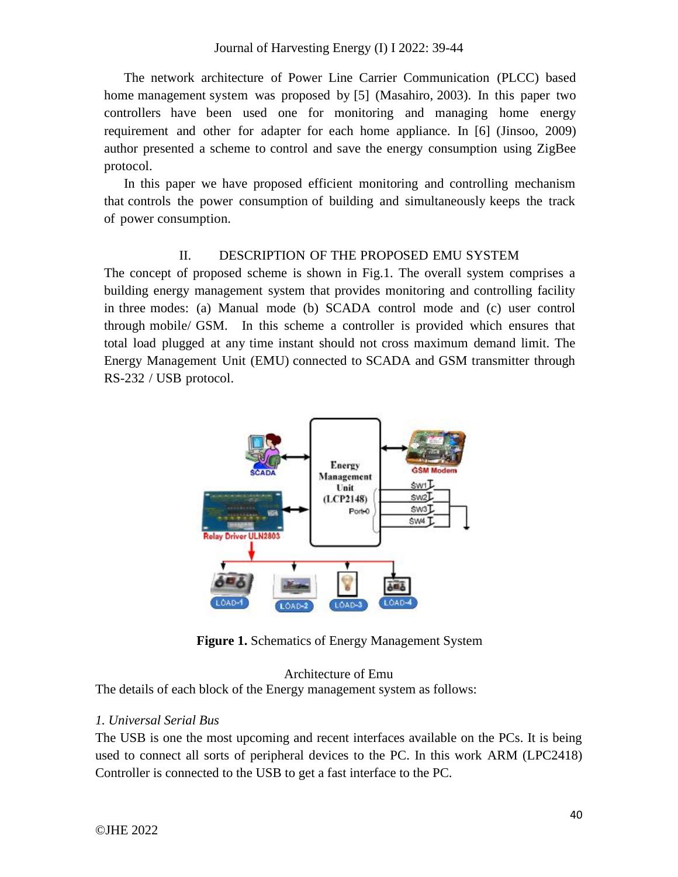The network architecture of Power Line Carrier Communication (PLCC) based home management system was proposed by [5] (Masahiro, 2003). In this paper two controllers have been used one for monitoring and managing home energy requirement and other for adapter for each home appliance. In [6] (Jinsoo, 2009) author presented a scheme to control and save the energy consumption using ZigBee protocol.

In this paper we have proposed efficient monitoring and controlling mechanism that controls the power consumption of building and simultaneously keeps the track of power consumption.

## II. DESCRIPTION OF THE PROPOSED EMU SYSTEM

The concept of proposed scheme is shown in Fig.1. The overall system comprises a building energy management system that provides monitoring and controlling facility in three modes: (a) Manual mode (b) SCADA control mode and (c) user control through mobile/ GSM. In this scheme a controller is provided which ensures that total load plugged at any time instant should not cross maximum demand limit. The Energy Management Unit (EMU) connected to SCADA and GSM transmitter through RS-232 / USB protocol.



**Figure 1.** Schematics of Energy Management System

#### Architecture of Emu

The details of each block of the Energy management system as follows:

## *1. Universal Serial Bus*

The USB is one the most upcoming and recent interfaces available on the PCs. It is being used to connect all sorts of peripheral devices to the PC. In this work ARM (LPC2418) Controller is connected to the USB to get a fast interface to the PC.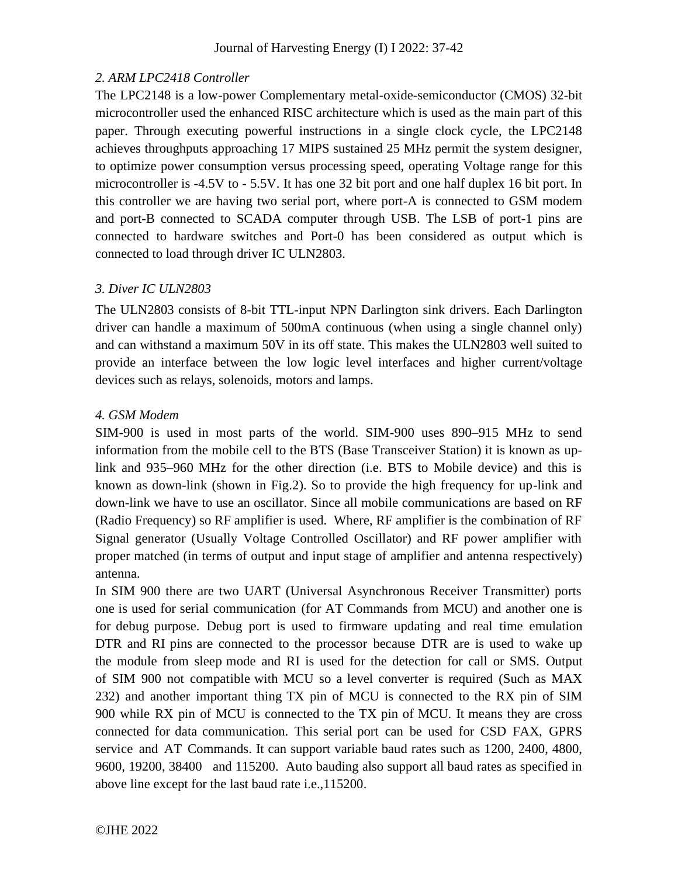# *2. ARM LPC2418 Controller*

The LPC2148 is a low-power Complementary metal-oxide-semiconductor (CMOS) 32-bit microcontroller used the enhanced RISC architecture which is used as the main part of this paper. Through executing powerful instructions in a single clock cycle, the LPC2148 achieves throughputs approaching 17 MIPS sustained 25 MHz permit the system designer, to optimize power consumption versus processing speed, operating Voltage range for this microcontroller is -4.5V to - 5.5V. It has one 32 bit port and one half duplex 16 bit port. In this controller we are having two serial port, where port-A is connected to GSM modem and port-B connected to SCADA computer through USB. The LSB of port-1 pins are connected to hardware switches and Port-0 has been considered as output which is connected to load through driver IC ULN2803.

## *3. Diver IC ULN2803*

The ULN2803 consists of 8-bit TTL-input NPN Darlington sink drivers. Each Darlington driver can handle a maximum of 500mA continuous (when using a single channel only) and can withstand a maximum 50V in its off state. This makes the ULN2803 well suited to provide an interface between the low logic level interfaces and higher current/voltage devices such as relays, solenoids, motors and lamps.

# *4. GSM Modem*

SIM-900 is used in most parts of the world. SIM-900 uses 890–915 MHz to send information from the mobile cell to the BTS (Base Transceiver Station) it is known as uplink and 935–960 MHz for the other direction (i.e. BTS to Mobile device) and this is known as down-link (shown in Fig.2). So to provide the high frequency for up-link and down-link we have to use an oscillator. Since all mobile communications are based on RF (Radio Frequency) so RF amplifier is used. Where, RF amplifier is the combination of RF Signal generator (Usually Voltage Controlled Oscillator) and RF power amplifier with proper matched (in terms of output and input stage of amplifier and antenna respectively) antenna.

In SIM 900 there are two UART (Universal Asynchronous Receiver Transmitter) ports one is used for serial communication (for AT Commands from MCU) and another one is for debug purpose. Debug port is used to firmware updating and real time emulation DTR and RI pins are connected to the processor because DTR are is used to wake up the module from sleep mode and RI is used for the detection for call or SMS. Output of SIM 900 not compatible with MCU so a level converter is required (Such as MAX 232) and another important thing TX pin of MCU is connected to the RX pin of SIM 900 while RX pin of MCU is connected to the TX pin of MCU. It means they are cross connected for data communication. This serial port can be used for CSD FAX, GPRS service and AT Commands. It can support variable baud rates such as 1200, 2400, 4800, 9600, 19200, 38400 and 115200. Auto bauding also support all baud rates as specified in above line except for the last baud rate i.e.,115200.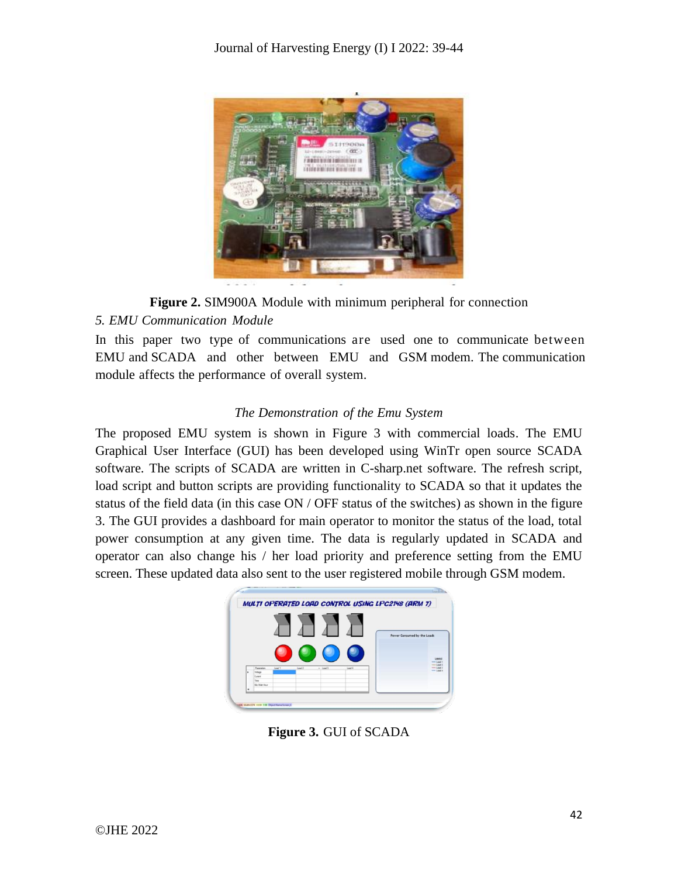

**Figure 2.** SIM900A Module with minimum peripheral for connection

# *5. EMU Communication Module*

In this paper two type of communications are used one to communicate between EMU and SCADA and other between EMU and GSM modem. The communication module affects the performance of overall system.

# *The Demonstration of the Emu System*

The proposed EMU system is shown in Figure 3 with commercial loads. The EMU Graphical User Interface (GUI) has been developed using WinTr open source SCADA software. The scripts of SCADA are written in C-sharp.net software. The refresh script, load script and button scripts are providing functionality to SCADA so that it updates the status of the field data (in this case ON / OFF status of the switches) as shown in the figure 3. The GUI provides a dashboard for main operator to monitor the status of the load, total power consumption at any given time. The data is regularly updated in SCADA and operator can also change his / her load priority and preference setting from the EMU screen. These updated data also sent to the user registered mobile through GSM modem.



**Figure 3.** GUI of SCADA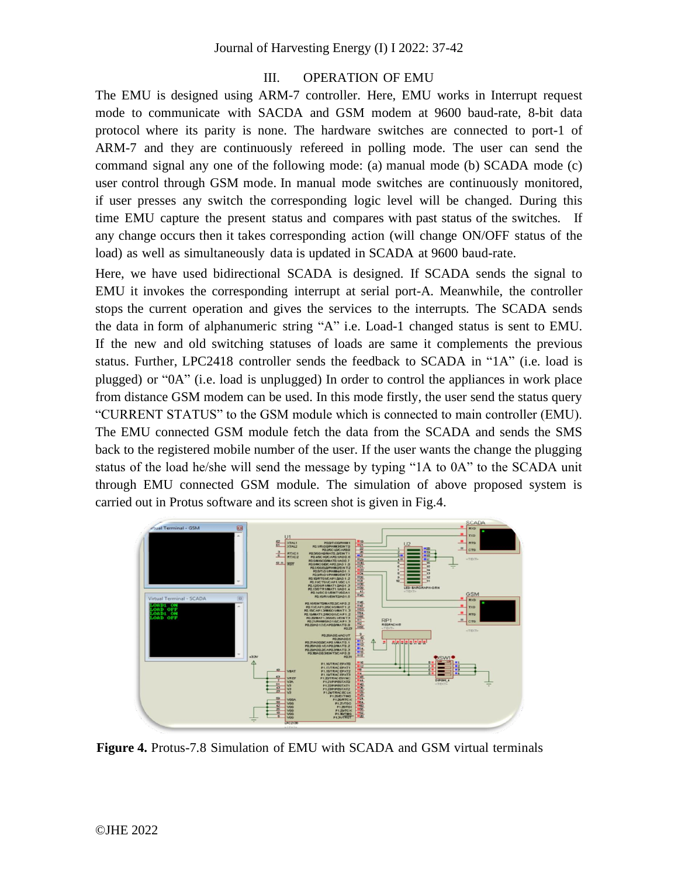## III. OPERATION OF EMU

The EMU is designed using ARM-7 controller. Here, EMU works in Interrupt request mode to communicate with SACDA and GSM modem at 9600 baud-rate, 8-bit data protocol where its parity is none. The hardware switches are connected to port-1 of ARM-7 and they are continuously refereed in polling mode. The user can send the command signal any one of the following mode: (a) manual mode (b) SCADA mode (c) user control through GSM mode. In manual mode switches are continuously monitored, if user presses any switch the corresponding logic level will be changed. During this time EMU capture the present status and compares with past status of the switches. If any change occurs then it takes corresponding action (will change ON/OFF status of the load) as well as simultaneously data is updated in SCADA at 9600 baud-rate.

Here, we have used bidirectional SCADA is designed. If SCADA sends the signal to EMU it invokes the corresponding interrupt at serial port-A. Meanwhile, the controller stops the current operation and gives the services to the interrupts. The SCADA sends the data in form of alphanumeric string "A" i.e. Load-1 changed status is sent to EMU. If the new and old switching statuses of loads are same it complements the previous status. Further, LPC2418 controller sends the feedback to SCADA in "1A" (i.e. load is plugged) or "0A" (i.e. load is unplugged) In order to control the appliances in work place from distance GSM modem can be used. In this mode firstly, the user send the status query "CURRENT STATUS" to the GSM module which is connected to main controller (EMU). The EMU connected GSM module fetch the data from the SCADA and sends the SMS back to the registered mobile number of the user. If the user wants the change the plugging status of the load he/she will send the message by typing "1A to 0A" to the SCADA unit through EMU connected GSM module. The simulation of above proposed system is carried out in Protus software and its screen shot is given in Fig.4.



**Figure 4.** Protus-7.8 Simulation of EMU with SCADA and GSM virtual terminals